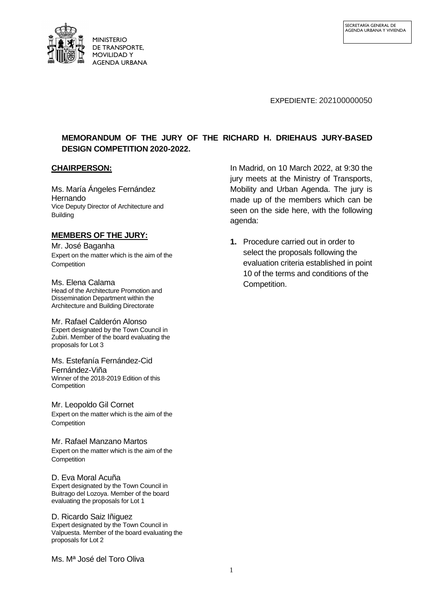

#### EXPEDIENTE: 202100000050

# **MEMORANDUM OF THE JURY OF THE RICHARD H. DRIEHAUS JURY-BASED DESIGN COMPETITION 2020-2022.**

## **CHAIRPERSON:**

Ms. María Ángeles Fernández Hernando Vice Deputy Director of Architecture and Building

## **MEMBERS OF THE JURY:**

Mr. José Baganha Expert on the matter which is the aim of the **Competition** 

Ms. Elena Calama Head of the Architecture Promotion and Dissemination Department within the Architecture and Building Directorate

Mr. Rafael Calderón Alonso Expert designated by the Town Council in Zubiri. Member of the board evaluating the proposals for Lot 3

Ms. Estefanía Fernández-Cid Fernández-Viña Winner of the 2018-2019 Edition of this **Competition** 

Mr. Leopoldo Gil Cornet Expert on the matter which is the aim of the **Competition** 

Mr. Rafael Manzano Martos Expert on the matter which is the aim of the **Competition** 

# D. Eva Moral Acuña

Expert designated by the Town Council in Buitrago del Lozoya. Member of the board evaluating the proposals for Lot 1

D. Ricardo Saiz Iñiguez Expert designated by the Town Council in Valpuesta. Member of the board evaluating the proposals for Lot 2

Ms. Mª José del Toro Oliva

In Madrid, on 10 March 2022, at 9:30 the jury meets at the Ministry of Transports, Mobility and Urban Agenda. The jury is made up of the members which can be seen on the side here, with the following agenda:

**1.** Procedure carried out in order to select the proposals following the evaluation criteria established in point 10 of the terms and conditions of the Competition.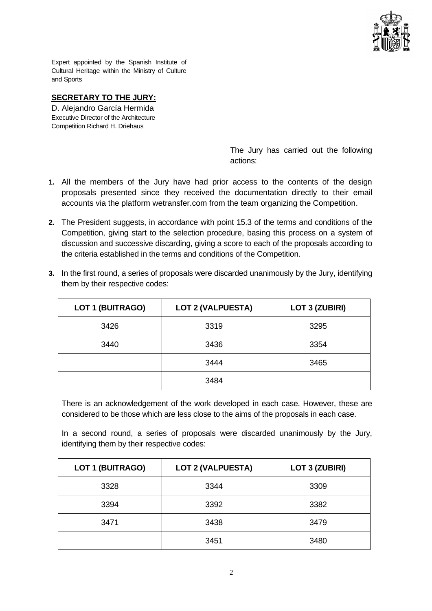

Expert appointed by the Spanish Institute of Cultural Heritage within the Ministry of Culture and Sports

# **SECRETARY TO THE JURY:**

D. Alejandro García Hermida Executive Director of the Architecture Competition Richard H. Driehaus

> The Jury has carried out the following actions:

- **1.** All the members of the Jury have had prior access to the contents of the design proposals presented since they received the documentation directly to their email accounts via the platform wetransfer.com from the team organizing the Competition.
- **2.** The President suggests, in accordance with point 15.3 of the terms and conditions of the Competition, giving start to the selection procedure, basing this process on a system of discussion and successive discarding, giving a score to each of the proposals according to the criteria established in the terms and conditions of the Competition.

| <b>LOT 1 (BUITRAGO)</b> | <b>LOT 2 (VALPUESTA)</b> | <b>LOT 3 (ZUBIRI)</b> |
|-------------------------|--------------------------|-----------------------|
| 3426                    | 3319                     | 3295                  |
| 3440                    | 3436                     | 3354                  |
|                         | 3444                     | 3465                  |
|                         | 3484                     |                       |

**3.** In the first round, a series of proposals were discarded unanimously by the Jury, identifying them by their respective codes:

There is an acknowledgement of the work developed in each case. However, these are considered to be those which are less close to the aims of the proposals in each case.

In a second round, a series of proposals were discarded unanimously by the Jury, identifying them by their respective codes:

| <b>LOT 1 (BUITRAGO)</b> | <b>LOT 2 (VALPUESTA)</b> | <b>LOT 3 (ZUBIRI)</b> |
|-------------------------|--------------------------|-----------------------|
| 3328                    | 3344                     | 3309                  |
| 3394                    | 3392                     | 3382                  |
| 3471                    | 3438                     | 3479                  |
|                         | 3451                     | 3480                  |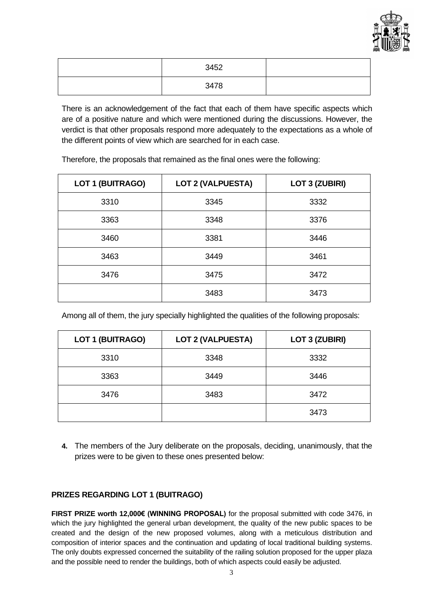

| 3452 |  |
|------|--|
| 3478 |  |

There is an acknowledgement of the fact that each of them have specific aspects which are of a positive nature and which were mentioned during the discussions. However, the verdict is that other proposals respond more adequately to the expectations as a whole of the different points of view which are searched for in each case.

Therefore, the proposals that remained as the final ones were the following:

| <b>LOT 1 (BUITRAGO)</b> | <b>LOT 2 (VALPUESTA)</b> | <b>LOT 3 (ZUBIRI)</b> |
|-------------------------|--------------------------|-----------------------|
| 3310                    | 3345                     | 3332                  |
| 3363                    | 3348                     | 3376                  |
| 3460                    | 3381                     | 3446                  |
| 3463                    | 3449                     | 3461                  |
| 3476                    | 3475                     | 3472                  |
|                         | 3483                     | 3473                  |

Among all of them, the jury specially highlighted the qualities of the following proposals:

| <b>LOT 1 (BUITRAGO)</b> | <b>LOT 2 (VALPUESTA)</b> | <b>LOT 3 (ZUBIRI)</b> |
|-------------------------|--------------------------|-----------------------|
| 3310                    | 3348                     | 3332                  |
| 3363                    | 3449                     | 3446                  |
| 3476                    | 3483                     | 3472                  |
|                         |                          | 3473                  |

**4.** The members of the Jury deliberate on the proposals, deciding, unanimously, that the prizes were to be given to these ones presented below:

# **PRIZES REGARDING LOT 1 (BUITRAGO)**

**FIRST PRIZE worth 12,000€ (WINNING PROPOSAL)** for the proposal submitted with code 3476, in which the jury highlighted the general urban development, the quality of the new public spaces to be created and the design of the new proposed volumes, along with a meticulous distribution and composition of interior spaces and the continuation and updating of local traditional building systems. The only doubts expressed concerned the suitability of the railing solution proposed for the upper plaza and the possible need to render the buildings, both of which aspects could easily be adjusted.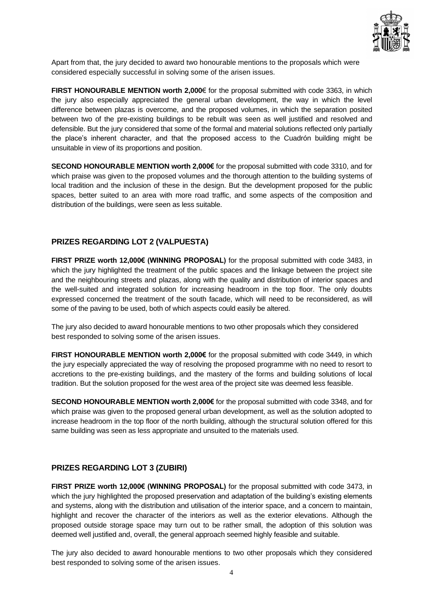

Apart from that, the jury decided to award two honourable mentions to the proposals which were considered especially successful in solving some of the arisen issues.

**FIRST HONOURABLE MENTION worth 2,000**€ for the proposal submitted with code 3363, in which the jury also especially appreciated the general urban development, the way in which the level difference between plazas is overcome, and the proposed volumes, in which the separation posited between two of the pre-existing buildings to be rebuilt was seen as well justified and resolved and defensible. But the jury considered that some of the formal and material solutions reflected only partially the place's inherent character, and that the proposed access to the Cuadrón building might be unsuitable in view of its proportions and position.

**SECOND HONOURABLE MENTION worth 2,000€** for the proposal submitted with code 3310, and for which praise was given to the proposed volumes and the thorough attention to the building systems of local tradition and the inclusion of these in the design. But the development proposed for the public spaces, better suited to an area with more road traffic, and some aspects of the composition and distribution of the buildings, were seen as less suitable.

#### **PRIZES REGARDING LOT 2 (VALPUESTA)**

**FIRST PRIZE worth 12,000€ (WINNING PROPOSAL)** for the proposal submitted with code 3483, in which the jury highlighted the treatment of the public spaces and the linkage between the project site and the neighbouring streets and plazas, along with the quality and distribution of interior spaces and the well-suited and integrated solution for increasing headroom in the top floor. The only doubts expressed concerned the treatment of the south facade, which will need to be reconsidered, as will some of the paving to be used, both of which aspects could easily be altered.

The jury also decided to award honourable mentions to two other proposals which they considered best responded to solving some of the arisen issues.

**FIRST HONOURABLE MENTION worth 2,000€** for the proposal submitted with code 3449, in which the jury especially appreciated the way of resolving the proposed programme with no need to resort to accretions to the pre-existing buildings, and the mastery of the forms and building solutions of local tradition. But the solution proposed for the west area of the project site was deemed less feasible.

**SECOND HONOURABLE MENTION worth 2,000€** for the proposal submitted with code 3348, and for which praise was given to the proposed general urban development, as well as the solution adopted to increase headroom in the top floor of the north building, although the structural solution offered for this same building was seen as less appropriate and unsuited to the materials used.

#### **PRIZES REGARDING LOT 3 (ZUBIRI)**

**FIRST PRIZE worth 12,000€ (WINNING PROPOSAL)** for the proposal submitted with code 3473, in which the jury highlighted the proposed preservation and adaptation of the building's existing elements and systems, along with the distribution and utilisation of the interior space, and a concern to maintain, highlight and recover the character of the interiors as well as the exterior elevations. Although the proposed outside storage space may turn out to be rather small, the adoption of this solution was deemed well justified and, overall, the general approach seemed highly feasible and suitable.

The jury also decided to award honourable mentions to two other proposals which they considered best responded to solving some of the arisen issues.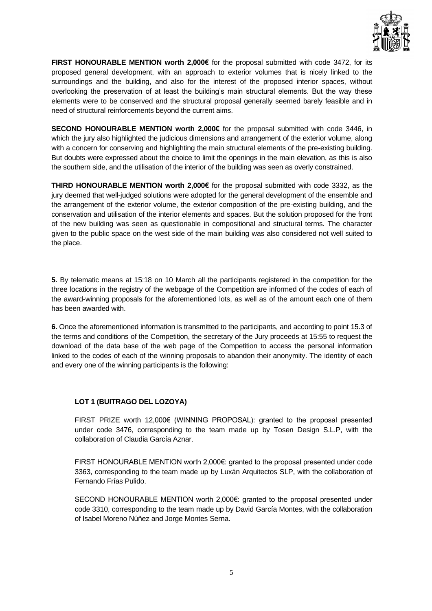

**FIRST HONOURABLE MENTION worth 2,000€** for the proposal submitted with code 3472, for its proposed general development, with an approach to exterior volumes that is nicely linked to the surroundings and the building, and also for the interest of the proposed interior spaces, without overlooking the preservation of at least the building's main structural elements. But the way these elements were to be conserved and the structural proposal generally seemed barely feasible and in need of structural reinforcements beyond the current aims.

**SECOND HONOURABLE MENTION worth 2,000€** for the proposal submitted with code 3446, in which the jury also highlighted the judicious dimensions and arrangement of the exterior volume, along with a concern for conserving and highlighting the main structural elements of the pre-existing building. But doubts were expressed about the choice to limit the openings in the main elevation, as this is also the southern side, and the utilisation of the interior of the building was seen as overly constrained.

**THIRD HONOURABLE MENTION worth 2,000€** for the proposal submitted with code 3332, as the jury deemed that well-judged solutions were adopted for the general development of the ensemble and the arrangement of the exterior volume, the exterior composition of the pre-existing building, and the conservation and utilisation of the interior elements and spaces. But the solution proposed for the front of the new building was seen as questionable in compositional and structural terms. The character given to the public space on the west side of the main building was also considered not well suited to the place.

**5.** By telematic means at 15:18 on 10 March all the participants registered in the competition for the three locations in the registry of the webpage of the Competition are informed of the codes of each of the award-winning proposals for the aforementioned lots, as well as of the amount each one of them has been awarded with.

**6.** Once the aforementioned information is transmitted to the participants, and according to point 15.3 of the terms and conditions of the Competition, the secretary of the Jury proceeds at 15:55 to request the download of the data base of the web page of the Competition to access the personal information linked to the codes of each of the winning proposals to abandon their anonymity. The identity of each and every one of the winning participants is the following:

#### **LOT 1 (BUITRAGO DEL LOZOYA)**

FIRST PRIZE worth 12,000€ (WINNING PROPOSAL): granted to the proposal presented under code 3476, corresponding to the team made up by Tosen Design S.L.P, with the collaboration of Claudia García Aznar.

FIRST HONOURABLE MENTION worth 2,000€: granted to the proposal presented under code 3363, corresponding to the team made up by Luxán Arquitectos SLP, with the collaboration of Fernando Frías Pulido.

SECOND HONOURABLE MENTION worth 2,000€: granted to the proposal presented under code 3310, corresponding to the team made up by David García Montes, with the collaboration of Isabel Moreno Núñez and Jorge Montes Serna.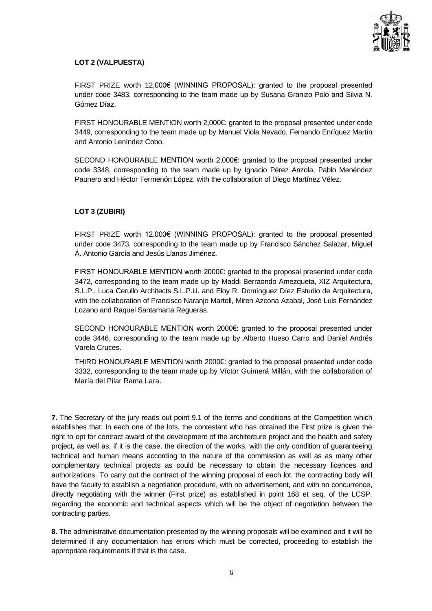

## **LOT 2 (VALPUESTA)**

FIRST PRIZE worth 12,000€ (WINNING PROPOSAL): granted to the proposal presented under code 3483, corresponding to the team made up by Susana Granizo Polo and Silvia N. Gómez Díaz.

FIRST HONOURABLE MENTION worth 2,000€: granted to the proposal presented under code 3449, corresponding to the team made up by Manuel Viola Nevado, Fernando Enríquez Martín and Antonio Leníndez Cobo.

SECOND HONOURABLE MENTION worth 2,000€: granted to the proposal presented under code 3348, corresponding to the team made up by Ignacio Pérez Anzola, Pablo Menéndez Paunero and Héctor Termenón López, with the collaboration of Diego Martínez Vélez.

## **LOT 3 (ZUBIRI)**

FIRST PRIZE worth 12.000€ (WINNING PROPOSAL): granted to the proposal presented under code 3473, corresponding to the team made up by Francisco Sánchez Salazar, Miguel Á. Antonio García and Jesús Llanos Jiménez.

FIRST HONOURABLE MENTION worth 2000€: granted to the proposal presented under code 3472, corresponding to the team made up by Maddi Berraondo Amezqueta, XIZ Arquitectura, S.L.P., Luca Cerullo Architects S.L.P.U. and Eloy R. Domínguez Díez Estudio de Arquitectura, with the collaboration of Francisco Naranjo Martell, Miren Azcona Azabal, José Luis Fernández Lozano and Raquel Santamarta Regueras.

SECOND HONOURABLE MENTION worth 2000€: granted to the proposal presented under code 3446, corresponding to the team made up by Alberto Hueso Carro and Daniel Andrés Varela Cruces.

THIRD HONOURABLE MENTION worth 2000€: granted to the proposal presented under code 3332, corresponding to the team made up by Víctor Guimerá Millán, with the collaboration of María del Pilar Rama Lara.

**7.** The Secretary of the jury reads out point 9.1 of the terms and conditions of the Competition which establishes that: In each one of the lots, the contestant who has obtained the First prize is given the right to opt for contract award of the development of the architecture project and the health and safety project, as well as, if it is the case, the direction of the works, with the only condition of guaranteeing technical and human means according to the nature of the commission as well as as many other complementary technical projects as could be necessary to obtain the necessary licences and authorizations. To carry out the contract of the winning proposal of each lot, the contracting body will have the faculty to establish a negotiation procedure, with no advertisement, and with no concurrence, directly negotiating with the winner (First prize) as established in point 168 et seq. of the LCSP, regarding the economic and technical aspects which will be the object of negotiation between the contracting parties.

**8.** The administrative documentation presented by the winning proposals will be examined and it will be determined if any documentation has errors which must be corrected, proceeding to establish the appropriate requirements if that is the case.